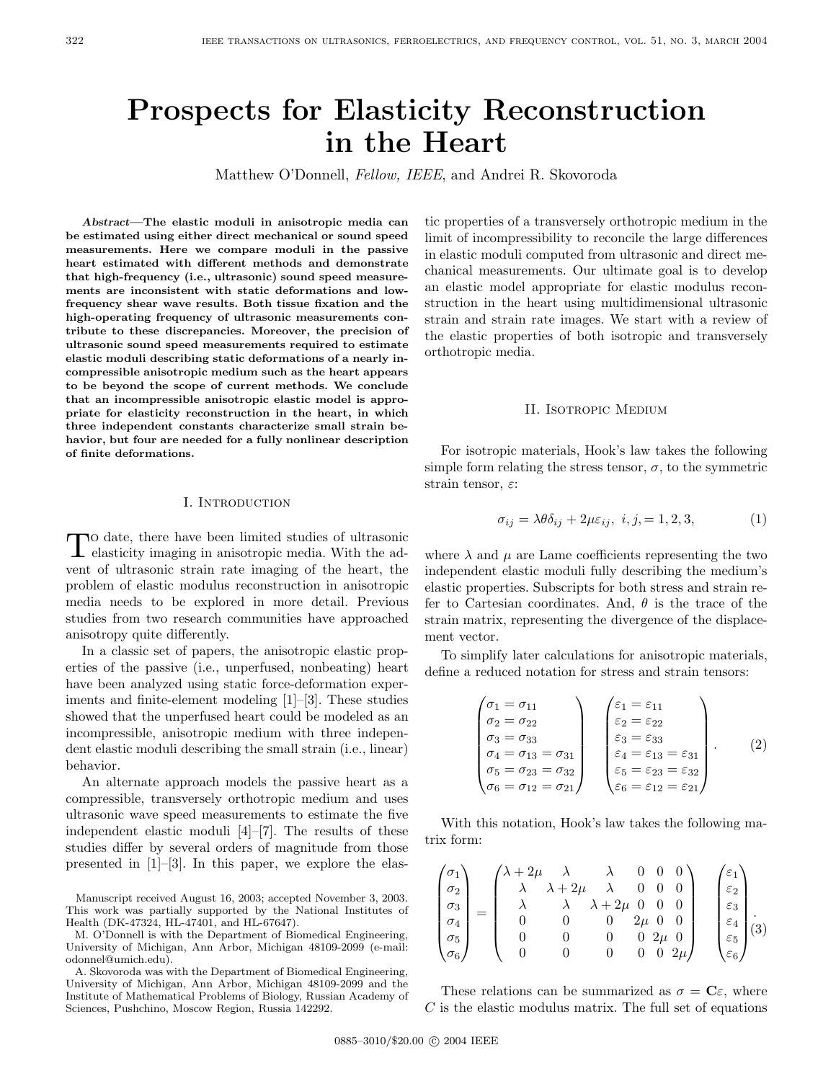# **Prospects for Elasticity Reconstruction in the Heart**

Matthew O'Donnell, Fellow, IEEE, and Andrei R. Skovoroda

*Abstract***—The elastic moduli in anisotropic media can be estimated using either direct mechanical or sound speed measurements. Here we compare moduli in the passive heart estimated with different methods and demonstrate that high-frequency (i.e., ultrasonic) sound speed measurements are inconsistent with static deformations and lowfrequency shear wave results. Both tissue fixation and the high-operating frequency of ultrasonic measurements contribute to these discrepancies. Moreover, the precision of ultrasonic sound speed measurements required to estimate elastic moduli describing static deformations of a nearly incompressible anisotropic medium such as the heart appears to be beyond the scope of current methods. We conclude that an incompressible anisotropic elastic model is appropriate for elasticity reconstruction in the heart, in which three independent constants characterize small strain behavior, but four are needed for a fully nonlinear description of finite deformations.**

## I. Introduction

 $\prod$  o date, there have been limited studies of ultrasonic elasticity imaging in anisotropic media. With the advent of ultrasonic strain rate imaging of the heart, the problem of elastic modulus reconstruction in anisotropic media needs to be explored in more detail. Previous studies from two research communities have approached anisotropy quite differently.

In a classic set of papers, the anisotropic elastic properties of the passive (i.e., unperfused, nonbeating) heart have been analyzed using static force-deformation experiments and finite-element modeling [1]–[3]. These studies showed that the unperfused heart could be modeled as an incompressible, anisotropic medium with three independent elastic moduli describing the small strain (i.e., linear) behavior.

An alternate approach models the passive heart as a compressible, transversely orthotropic medium and uses ultrasonic wave speed measurements to estimate the five independent elastic moduli [4]–[7]. The results of these studies differ by several orders of magnitude from those presented in [1]–[3]. In this paper, we explore the elas-

tic properties of a transversely orthotropic medium in the limit of incompressibility to reconcile the large differences in elastic moduli computed from ultrasonic and direct mechanical measurements. Our ultimate goal is to develop an elastic model appropriate for elastic modulus reconstruction in the heart using multidimensional ultrasonic strain and strain rate images. We start with a review of the elastic properties of both isotropic and transversely orthotropic media.

### II. Isotropic Medium

For isotropic materials, Hook's law takes the following simple form relating the stress tensor,  $\sigma$ , to the symmetric strain tensor,  $\varepsilon$ :

$$
\sigma_{ij} = \lambda \theta \delta_{ij} + 2\mu \varepsilon_{ij}, \ i, j = 1, 2, 3,
$$
 (1)

where  $\lambda$  and  $\mu$  are Lame coefficients representing the two independent elastic moduli fully describing the medium's elastic properties. Subscripts for both stress and strain refer to Cartesian coordinates. And,  $\theta$  is the trace of the strain matrix, representing the divergence of the displacement vector.

To simplify later calculations for anisotropic materials, define a reduced notation for stress and strain tensors:

$$
\begin{pmatrix}\n\sigma_1 = \sigma_{11} \\
\sigma_2 = \sigma_{22} \\
\sigma_3 = \sigma_{33} \\
\sigma_4 = \sigma_{13} = \sigma_{31} \\
\sigma_5 = \sigma_{23} = \sigma_{32} \\
\sigma_6 = \sigma_{12} = \sigma_{21}\n\end{pmatrix}\n\begin{pmatrix}\n\varepsilon_1 = \varepsilon_{11} \\
\varepsilon_2 = \varepsilon_{22} \\
\varepsilon_3 = \varepsilon_{33} \\
\varepsilon_4 = \varepsilon_{13} = \varepsilon_{31} \\
\varepsilon_5 = \varepsilon_{23} = \varepsilon_{32} \\
\varepsilon_6 = \varepsilon_{12} = \varepsilon_{21}\n\end{pmatrix}.
$$
\n(2)

With this notation, Hook's law takes the following matrix form:

$$
\begin{pmatrix}\n\sigma_1 \\
\sigma_2 \\
\sigma_3 \\
\sigma_4 \\
\sigma_5 \\
\sigma_6\n\end{pmatrix} = \begin{pmatrix}\n\lambda + 2\mu & \lambda & \lambda & 0 & 0 & 0 \\
\lambda & \lambda + 2\mu & \lambda & 0 & 0 & 0 \\
\lambda & \lambda & \lambda + 2\mu & 0 & 0 & 0 \\
0 & 0 & 0 & 2\mu & 0 & 0 \\
0 & 0 & 0 & 0 & 2\mu & 0 \\
0 & 0 & 0 & 0 & 0 & 2\mu\n\end{pmatrix} \begin{pmatrix}\n\varepsilon_1 \\
\varepsilon_2 \\
\varepsilon_3 \\
\varepsilon_4 \\
\varepsilon_5 \\
\varepsilon_5 \\
\varepsilon_6\n\end{pmatrix}.
$$

These relations can be summarized as  $\sigma = \mathbf{C}\varepsilon$ , where C is the elastic modulus matrix. The full set of equations

Manuscript received August 16, 2003; accepted November 3, 2003. This work was partially supported by the National Institutes of Health (DK-47324, HL-47401, and HL-67647).

M. O'Donnell is with the Department of Biomedical Engineering, University of Michigan, Ann Arbor, Michigan 48109-2099 (e-mail: odonnel@umich.edu).

A. Skovoroda was with the Department of Biomedical Engineering, University of Michigan, Ann Arbor, Michigan 48109-2099 and the Institute of Mathematical Problems of Biology, Russian Academy of Sciences, Pushchino, Moscow Region, Russia 142292.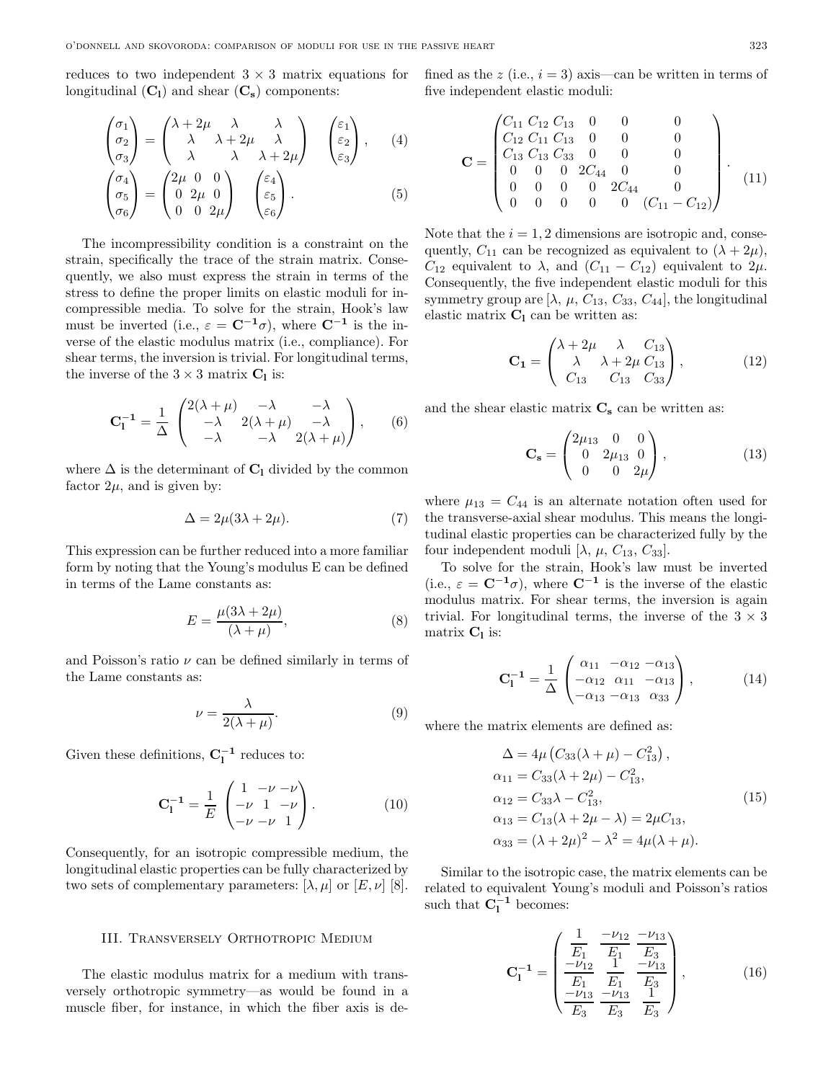reduces to two independent  $3 \times 3$  matrix equations for longitudinal  $(C_1)$  and shear  $(C_s)$  components:

$$
\begin{pmatrix} \sigma_1 \\ \sigma_2 \\ \sigma_3 \end{pmatrix} = \begin{pmatrix} \lambda + 2\mu & \lambda & \lambda \\ \lambda & \lambda + 2\mu & \lambda \\ \lambda & \lambda & \lambda + 2\mu \end{pmatrix} \begin{pmatrix} \varepsilon_1 \\ \varepsilon_2 \\ \varepsilon_3 \end{pmatrix}, \quad (4)
$$

$$
\begin{pmatrix} \sigma_4 \\ \sigma_5 \\ \sigma_6 \end{pmatrix} = \begin{pmatrix} 2\mu & 0 & 0 \\ 0 & 2\mu & 0 \\ 0 & 0 & 2\mu \end{pmatrix} \begin{pmatrix} \varepsilon_4 \\ \varepsilon_5 \\ \varepsilon_6 \end{pmatrix} . \tag{5}
$$

The incompressibility condition is a constraint on the strain, specifically the trace of the strain matrix. Consequently, we also must express the strain in terms of the stress to define the proper limits on elastic moduli for incompressible media. To solve for the strain, Hook's law must be inverted (i.e.,  $\varepsilon = \mathbf{C}^{-1}\sigma$ ), where  $\mathbf{C}^{-1}$  is the inverse of the elastic modulus matrix (i.e., compliance). For shear terms, the inversion is trivial. For longitudinal terms, the inverse of the  $3 \times 3$  matrix  $C_l$  is:

$$
\mathbf{C}_1^{-1} = \frac{1}{\Delta} \begin{pmatrix} 2(\lambda + \mu) & -\lambda & -\lambda \\ -\lambda & 2(\lambda + \mu) & -\lambda \\ -\lambda & -\lambda & 2(\lambda + \mu) \end{pmatrix}, \qquad (6)
$$

where  $\Delta$  is the determinant of  $C_1$  divided by the common factor  $2\mu$ , and is given by:

$$
\Delta = 2\mu(3\lambda + 2\mu). \tag{7}
$$

This expression can be further reduced into a more familiar form by noting that the Young's modulus E can be defined in terms of the Lame constants as:

$$
E = \frac{\mu(3\lambda + 2\mu)}{(\lambda + \mu)},
$$
\n(8)

and Poisson's ratio  $\nu$  can be defined similarly in terms of the Lame constants as:

$$
\nu = \frac{\lambda}{2(\lambda + \mu)}.\tag{9}
$$

Given these definitions,  $C_1^{-1}$  reduces to:

$$
\mathbf{C}_{1}^{-1} = \frac{1}{E} \begin{pmatrix} 1 & -\nu & -\nu \\ -\nu & 1 & -\nu \\ -\nu & -\nu & 1 \end{pmatrix} . \tag{10}
$$

Consequently, for an isotropic compressible medium, the longitudinal elastic properties can be fully characterized by two sets of complementary parameters:  $[\lambda, \mu]$  or  $[E, \nu]$  [8].

## III. Transversely Orthotropic Medium

The elastic modulus matrix for a medium with transversely orthotropic symmetry—as would be found in a muscle fiber, for instance, in which the fiber axis is defined as the z (i.e.,  $i = 3$ ) axis—can be written in terms of five independent elastic moduli:

$$
\mathbf{C} = \begin{pmatrix} C_{11} & C_{12} & C_{13} & 0 & 0 & 0 \\ C_{12} & C_{11} & C_{13} & 0 & 0 & 0 \\ C_{13} & C_{13} & C_{33} & 0 & 0 & 0 \\ 0 & 0 & 0 & 2C_{44} & 0 & 0 \\ 0 & 0 & 0 & 0 & 2C_{44} & 0 \\ 0 & 0 & 0 & 0 & 0 & (C_{11} - C_{12}) \end{pmatrix} . \tag{11}
$$

Note that the  $i = 1, 2$  dimensions are isotropic and, consequently,  $C_{11}$  can be recognized as equivalent to  $(\lambda + 2\mu)$ ,  $C_{12}$  equivalent to  $\lambda$ , and  $(C_{11} - C_{12})$  equivalent to  $2\mu$ . Consequently, the five independent elastic moduli for this symmetry group are  $[\lambda, \mu, C_{13}, C_{33}, C_{44}]$ , the longitudinal elastic matrix  $C_1$  can be written as:

$$
\mathbf{C_1} = \begin{pmatrix} \lambda + 2\mu & \lambda & C_{13} \\ \lambda & \lambda + 2\mu & C_{13} \\ C_{13} & C_{13} & C_{33} \end{pmatrix},
$$
 (12)

and the shear elastic matrix  $C_s$  can be written as:

$$
\mathbf{C_s} = \begin{pmatrix} 2\mu_{13} & 0 & 0 \\ 0 & 2\mu_{13} & 0 \\ 0 & 0 & 2\mu \end{pmatrix}, \tag{13}
$$

where  $\mu_{13} = C_{44}$  is an alternate notation often used for the transverse-axial shear modulus. This means the longitudinal elastic properties can be characterized fully by the four independent moduli [ $\lambda$ ,  $\mu$ ,  $C_{13}$ ,  $C_{33}$ ].

To solve for the strain, Hook's law must be inverted (i.e.,  $\varepsilon = \mathbf{C}^{-1}\sigma$ ), where  $\mathbf{C}^{-1}$  is the inverse of the elastic modulus matrix. For shear terms, the inversion is again trivial. For longitudinal terms, the inverse of the  $3 \times 3$ matrix **C<sup>l</sup>** is:

$$
\mathbf{C}_{1}^{-1} = \frac{1}{\Delta} \begin{pmatrix} \alpha_{11} & -\alpha_{12} & -\alpha_{13} \\ -\alpha_{12} & \alpha_{11} & -\alpha_{13} \\ -\alpha_{13} & -\alpha_{13} & \alpha_{33} \end{pmatrix}, \quad (14)
$$

where the matrix elements are defined as:

$$
\Delta = 4\mu (C_{33}(\lambda + \mu) - C_{13}^2),
$$
  
\n
$$
\alpha_{11} = C_{33}(\lambda + 2\mu) - C_{13}^2,
$$
  
\n
$$
\alpha_{12} = C_{33}\lambda - C_{13}^2,
$$
  
\n
$$
\alpha_{13} = C_{13}(\lambda + 2\mu - \lambda) = 2\mu C_{13},
$$
  
\n
$$
\alpha_{33} = (\lambda + 2\mu)^2 - \lambda^2 = 4\mu(\lambda + \mu).
$$
\n(15)

Similar to the isotropic case, the matrix elements can be related to equivalent Young's moduli and Poisson's ratios such that  $C_1^{-1}$  becomes:

$$
\mathbf{C}_{1}^{-1} = \begin{pmatrix} \frac{1}{E_{1}} & \frac{-\nu_{12}}{E_{1}} & \frac{-\nu_{13}}{E_{3}}\\ \frac{-\nu_{12}}{E_{1}} & \frac{1}{E_{1}} & \frac{-\nu_{13}}{E_{3}}\\ \frac{-\nu_{13}}{E_{3}} & \frac{-\nu_{13}}{E_{3}} & \frac{1}{E_{3}} \end{pmatrix}, \qquad (16)
$$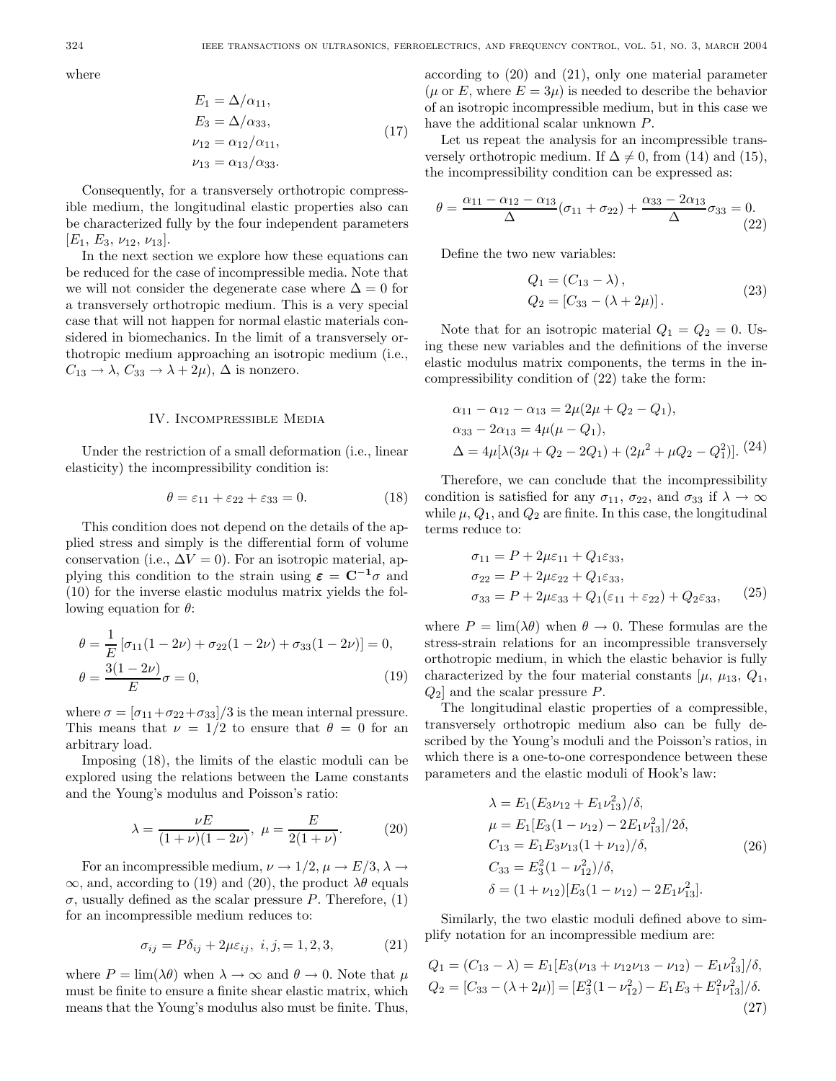where

$$
E_1 = \Delta/\alpha_{11},
$$
  
\n
$$
E_3 = \Delta/\alpha_{33},
$$
  
\n
$$
\nu_{12} = \alpha_{12}/\alpha_{11},
$$
  
\n
$$
\nu_{13} = \alpha_{13}/\alpha_{33}.
$$
\n(17)

Consequently, for a transversely orthotropic compressible medium, the longitudinal elastic properties also can be characterized fully by the four independent parameters  $[E_1, E_3, \nu_{12}, \nu_{13}].$ 

In the next section we explore how these equations can be reduced for the case of incompressible media. Note that we will not consider the degenerate case where  $\Delta = 0$  for a transversely orthotropic medium. This is a very special case that will not happen for normal elastic materials considered in biomechanics. In the limit of a transversely orthotropic medium approaching an isotropic medium (i.e.,  $C_{13} \rightarrow \lambda$ ,  $C_{33} \rightarrow \lambda + 2\mu$ ,  $\Delta$  is nonzero.

## IV. Incompressible Media

Under the restriction of a small deformation (i.e., linear elasticity) the incompressibility condition is:

$$
\theta = \varepsilon_{11} + \varepsilon_{22} + \varepsilon_{33} = 0. \tag{18}
$$

This condition does not depend on the details of the applied stress and simply is the differential form of volume conservation (i.e.,  $\Delta V = 0$ ). For an isotropic material, applying this condition to the strain using  $\varepsilon = C^{-1}\sigma$  and (10) for the inverse elastic modulus matrix yields the following equation for  $\theta$ :

$$
\theta = \frac{1}{E} \left[ \sigma_{11} (1 - 2\nu) + \sigma_{22} (1 - 2\nu) + \sigma_{33} (1 - 2\nu) \right] = 0,
$$
  

$$
\theta = \frac{3(1 - 2\nu)}{E} \sigma = 0,
$$
 (19)

where  $\sigma = \frac{\sigma_{11} + \sigma_{22} + \sigma_{33}}{3}$  is the mean internal pressure. This means that  $\nu = 1/2$  to ensure that  $\theta = 0$  for an arbitrary load.

Imposing (18), the limits of the elastic moduli can be explored using the relations between the Lame constants and the Young's modulus and Poisson's ratio:

$$
\lambda = \frac{\nu E}{(1+\nu)(1-2\nu)}, \ \mu = \frac{E}{2(1+\nu)}.\tag{20}
$$

For an incompressible medium,  $\nu \to 1/2$ ,  $\mu \to E/3$ ,  $\lambda \to$  $\infty$ , and, according to (19) and (20), the product  $\lambda\theta$  equals  $\sigma$ , usually defined as the scalar pressure P. Therefore, (1) for an incompressible medium reduces to:

$$
\sigma_{ij} = P\delta_{ij} + 2\mu\varepsilon_{ij}, \ i, j, = 1, 2, 3,
$$
\n<sup>(21)</sup>

where  $P = \lim_{\alpha \to 0} (\lambda \theta)$  when  $\lambda \to \infty$  and  $\theta \to 0$ . Note that  $\mu$ must be finite to ensure a finite shear elastic matrix, which means that the Young's modulus also must be finite. Thus,

according to (20) and (21), only one material parameter ( $\mu$  or E, where  $E = 3\mu$ ) is needed to describe the behavior of an isotropic incompressible medium, but in this case we have the additional scalar unknown P.

Let us repeat the analysis for an incompressible transversely orthotropic medium. If  $\Delta \neq 0$ , from (14) and (15), the incompressibility condition can be expressed as:

$$
\theta = \frac{\alpha_{11} - \alpha_{12} - \alpha_{13}}{\Delta} (\sigma_{11} + \sigma_{22}) + \frac{\alpha_{33} - 2\alpha_{13}}{\Delta} \sigma_{33} = 0.
$$
\n(22)

Define the two new variables:

$$
Q_1 = (C_{13} - \lambda), Q_2 = [C_{33} - (\lambda + 2\mu)].
$$
 (23)

Note that for an isotropic material  $Q_1 = Q_2 = 0$ . Using these new variables and the definitions of the inverse elastic modulus matrix components, the terms in the incompressibility condition of (22) take the form:

$$
\alpha_{11} - \alpha_{12} - \alpha_{13} = 2\mu(2\mu + Q_2 - Q_1),
$$
  
\n
$$
\alpha_{33} - 2\alpha_{13} = 4\mu(\mu - Q_1),
$$
  
\n
$$
\Delta = 4\mu[\lambda(3\mu + Q_2 - 2Q_1) + (2\mu^2 + \mu Q_2 - Q_1^2)].
$$
\n(24)

Therefore, we can conclude that the incompressibility condition is satisfied for any  $\sigma_{11}$ ,  $\sigma_{22}$ , and  $\sigma_{33}$  if  $\lambda \to \infty$ while  $\mu$ ,  $Q_1$ , and  $Q_2$  are finite. In this case, the longitudinal terms reduce to:

$$
\sigma_{11} = P + 2\mu\varepsilon_{11} + Q_1\varepsilon_{33},
$$
  
\n
$$
\sigma_{22} = P + 2\mu\varepsilon_{22} + Q_1\varepsilon_{33},
$$
  
\n
$$
\sigma_{33} = P + 2\mu\varepsilon_{33} + Q_1(\varepsilon_{11} + \varepsilon_{22}) + Q_2\varepsilon_{33},
$$
\n(25)

where  $P = \lim_{\alpha \to 0} (\lambda \theta)$  when  $\theta \to 0$ . These formulas are the stress-strain relations for an incompressible transversely orthotropic medium, in which the elastic behavior is fully characterized by the four material constants  $[\mu, \mu_{13}, Q_1]$ ,  $Q_2$  and the scalar pressure P.

The longitudinal elastic properties of a compressible, transversely orthotropic medium also can be fully described by the Young's moduli and the Poisson's ratios, in which there is a one-to-one correspondence between these parameters and the elastic moduli of Hook's law:

$$
\lambda = E_1 (E_3 \nu_{12} + E_1 \nu_{13}^2)/\delta,
$$
  
\n
$$
\mu = E_1 [E_3 (1 - \nu_{12}) - 2E_1 \nu_{13}^2]/2\delta,
$$
  
\n
$$
C_{13} = E_1 E_3 \nu_{13} (1 + \nu_{12})/\delta,
$$
  
\n
$$
C_{33} = E_3^2 (1 - \nu_{12}^2)/\delta,
$$
  
\n
$$
\delta = (1 + \nu_{12}) [E_3 (1 - \nu_{12}) - 2E_1 \nu_{13}^2].
$$
\n(26)

Similarly, the two elastic moduli defined above to simplify notation for an incompressible medium are:

$$
Q_1 = (C_{13} - \lambda) = E_1 [E_3(\nu_{13} + \nu_{12}\nu_{13} - \nu_{12}) - E_1\nu_{13}^2]/\delta,
$$
  
\n
$$
Q_2 = [C_{33} - (\lambda + 2\mu)] = [E_3^2(1 - \nu_{12}^2) - E_1E_3 + E_1^2\nu_{13}^2]/\delta.
$$
\n(27)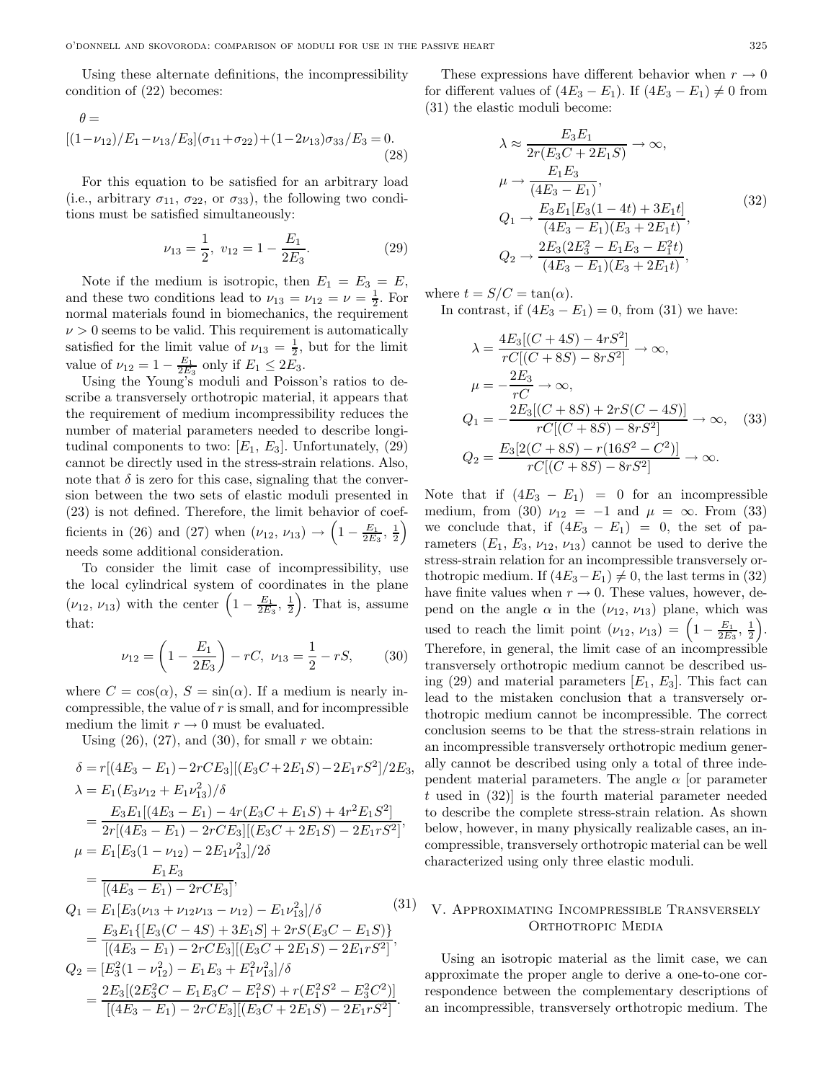Using these alternate definitions, the incompressibility condition of (22) becomes:

$$
\theta = \left[ (1 - \nu_{12})/E_1 - \nu_{13}/E_3 \right] (\sigma_{11} + \sigma_{22}) + (1 - 2\nu_{13})\sigma_{33}/E_3 = 0. \tag{28}
$$

For this equation to be satisfied for an arbitrary load (i.e., arbitrary  $\sigma_{11}$ ,  $\sigma_{22}$ , or  $\sigma_{33}$ ), the following two conditions must be satisfied simultaneously:

$$
\nu_{13} = \frac{1}{2}, \ v_{12} = 1 - \frac{E_1}{2E_3}.
$$
 (29)

Note if the medium is isotropic, then  $E_1 = E_3 = E$ , and these two conditions lead to  $\nu_{13} = \nu_{12} = \nu = \frac{1}{2}$ . For normal materials found in biomechanics, the requirement  $\nu > 0$  seems to be valid. This requirement is automatically satisfied for the limit value of  $\nu_{13} = \frac{1}{2}$ , but for the limit value of  $\nu_{12} = 1 - \frac{E_1}{2E_3}$  only if  $E_1 \leq 2E_3$ .

Using the Young's moduli and Poisson's ratios to describe a transversely orthotropic material, it appears that the requirement of medium incompressibility reduces the number of material parameters needed to describe longitudinal components to two:  $[E_1, E_3]$ . Unfortunately, (29) cannot be directly used in the stress-strain relations. Also, note that  $\delta$  is zero for this case, signaling that the conversion between the two sets of elastic moduli presented in (23) is not defined. Therefore, the limit behavior of coefficients in (26) and (27) when  $(\nu_{12}, \nu_{13}) \rightarrow \left(1 - \frac{E_1}{2E_3}, \frac{1}{2}\right)$ needs some additional consideration.

To consider the limit case of incompressibility, use the local cylindrical system of coordinates in the plane  $(\nu_{12}, \nu_{13})$  with the center  $\left(1-\frac{E_1}{2E_3}, \frac{1}{2}\right)$ . That is, assume that:

$$
\nu_{12} = \left(1 - \frac{E_1}{2E_3}\right) - rC, \ \nu_{13} = \frac{1}{2} - rS,\tag{30}
$$

where  $C = \cos(\alpha)$ ,  $S = \sin(\alpha)$ . If a medium is nearly incompressible, the value of  $r$  is small, and for incompressible medium the limit  $r \to 0$  must be evaluated.

Using  $(26)$ ,  $(27)$ , and  $(30)$ , for small r we obtain:

$$
\delta = r[(4E_3 - E_1) - 2rCE_3][(E_3C + 2E_1S) - 2E_1rS^2]/2E_3,\n\lambda = E_1(E_3\nu_{12} + E_1\nu_{13}^2)/\delta\n= \frac{E_3E_1[(4E_3 - E_1) - 4r(E_3C + E_1S) + 4r^2E_1S^2]}{2r[(4E_3 - E_1) - 2rCE_3][(E_3C + 2E_1S) - 2E_1rS^2]},\n\mu = E_1[E_3(1 - \nu_{12}) - 2E_1\nu_{13}^2]/2\delta\n= \frac{E_1E_3}{[(4E_3 - E_1) - 2rCE_3]},\nQ_1 = E_1[E_3(\nu_{13} + \nu_{12}\nu_{13} - \nu_{12}) - E_1\nu_{13}^2]/\delta\n= \frac{E_3E_1\{[E_3(C - 4S) + 3E_1S] + 2rS(E_3C - E_1S)\}}{[(4E_3 - E_1) - 2rCE_3][(E_3C + 2E_1S) - 2E_1rS^2]},\nQ_2 = [E_3^2(1 - \nu_{12}^2) - E_1E_3 + E_1^2\nu_{13}^2]/\delta\n= \frac{2E_3[(2E_3^2C - E_1E_3C - E_1^2S) + r(E_1^2S^2 - E_3^2C^2)]}{[(4E_3 - E_1) - 2rCE_3][(E_3C + 2E_1S) - 2E_1rS^2]}.
$$

These expressions have different behavior when  $r \to 0$ for different values of  $(4E_3 - E_1)$ . If  $(4E_3 - E_1) \neq 0$  from (31) the elastic moduli become:

$$
\lambda \approx \frac{E_3 E_1}{2r(E_3 C + 2E_1 S)} \to \infty,
$$
  
\n
$$
\mu \to \frac{E_1 E_3}{(4E_3 - E_1)},
$$
  
\n
$$
Q_1 \to \frac{E_3 E_1 [E_3 (1 - 4t) + 3E_1 t]}{(4E_3 - E_1)(E_3 + 2E_1 t)},
$$
  
\n
$$
Q_2 \to \frac{2E_3 (2E_3^2 - E_1 E_3 - E_1^2 t)}{(4E_3 - E_1)(E_3 + 2E_1 t)},
$$
\n(32)

where  $t = S/C = \tan(\alpha)$ . In contrast, if  $(4E_3 - E_1) = 0$ , from (31) we have:

$$
\lambda = \frac{4E_3[(C+4S) - 4rS^2]}{rC[(C+8S) - 8rS^2]} \to \infty,
$$
  
\n
$$
\mu = -\frac{2E_3}{rC} \to \infty,
$$
  
\n
$$
Q_1 = -\frac{2E_3[(C+8S) + 2rS(C-4S)]}{rC[(C+8S) - 8rS^2]} \to \infty,
$$
 (33)  
\n
$$
Q_2 = \frac{E_3[2(C+8S) - r(16S^2 - C^2)]}{rC[(C+8S) - 8rS^2]} \to \infty.
$$

Note that if  $(4E_3 - E_1) = 0$  for an incompressible medium, from (30)  $\nu_{12} = -1$  and  $\mu = \infty$ . From (33) we conclude that, if  $(4E_3 - E_1) = 0$ , the set of parameters  $(E_1, E_3, \nu_{12}, \nu_{13})$  cannot be used to derive the stress-strain relation for an incompressible transversely orthotropic medium. If  $(4E_3-E_1) \neq 0$ , the last terms in (32) have finite values when  $r \to 0$ . These values, however, depend on the angle  $\alpha$  in the  $(\nu_{12}, \nu_{13})$  plane, which was used to reach the limit point  $(\nu_{12}, \nu_{13}) = \left(1 - \frac{E_1}{2E_3}, \frac{1}{2}\right)$ . Therefore, in general, the limit case of an incompressible transversely orthotropic medium cannot be described using (29) and material parameters  $[E_1, E_3]$ . This fact can lead to the mistaken conclusion that a transversely orthotropic medium cannot be incompressible. The correct conclusion seems to be that the stress-strain relations in an incompressible transversely orthotropic medium generally cannot be described using only a total of three independent material parameters. The angle  $\alpha$  [or parameter  $t$  used in  $(32)$  is the fourth material parameter needed to describe the complete stress-strain relation. As shown below, however, in many physically realizable cases, an incompressible, transversely orthotropic material can be well characterized using only three elastic moduli.

# V. Approximating Incompressible Transversely ORTHOTROPIC MEDIA

Using an isotropic material as the limit case, we can approximate the proper angle to derive a one-to-one correspondence between the complementary descriptions of an incompressible, transversely orthotropic medium. The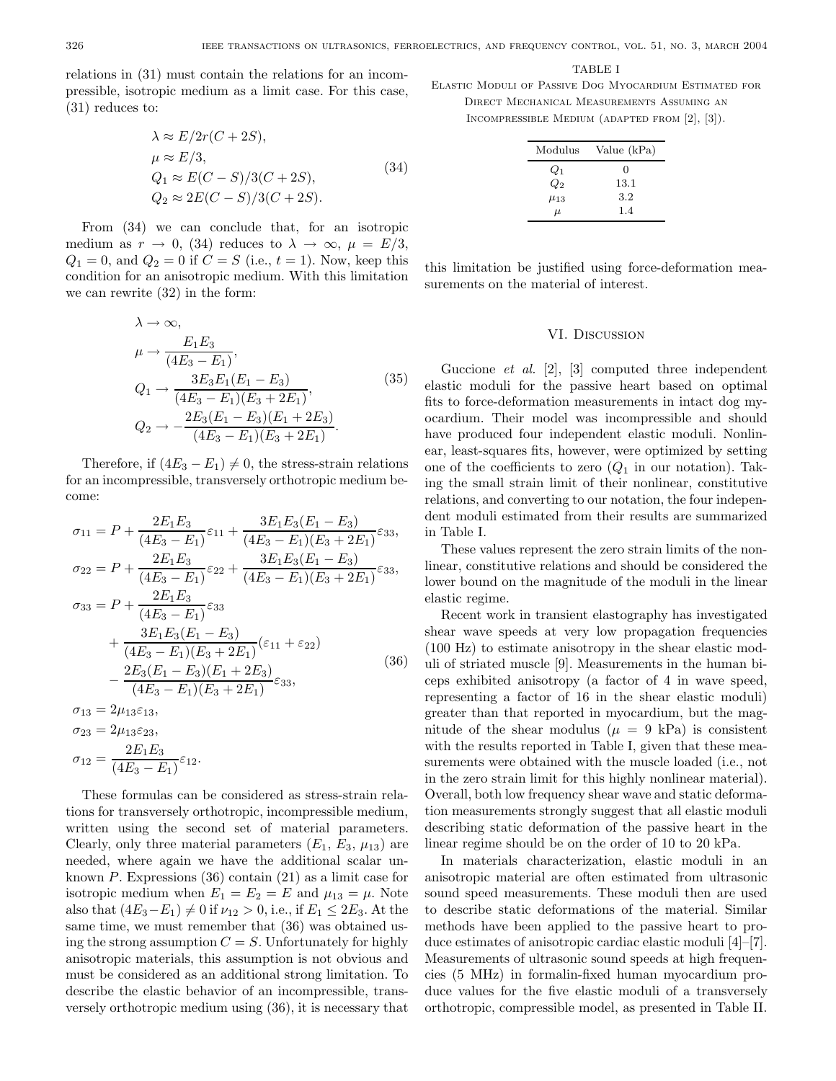relations in (31) must contain the relations for an incompressible, isotropic medium as a limit case. For this case, (31) reduces to:

$$
\lambda \approx E/2r(C + 2S),
$$
  
\n
$$
\mu \approx E/3,
$$
  
\n
$$
Q_1 \approx E(C - S)/3(C + 2S),
$$
  
\n
$$
Q_2 \approx 2E(C - S)/3(C + 2S).
$$
\n(34)

From (34) we can conclude that, for an isotropic medium as  $r \to 0$ , (34) reduces to  $\lambda \to \infty$ ,  $\mu = E/3$ ,  $Q_1 = 0$ , and  $Q_2 = 0$  if  $C = S$  (i.e.,  $t = 1$ ). Now, keep this condition for an anisotropic medium. With this limitation we can rewrite (32) in the form:

$$
\lambda \to \infty,
$$
  
\n
$$
\mu \to \frac{E_1 E_3}{(4E_3 - E_1)},
$$
  
\n
$$
Q_1 \to \frac{3E_3 E_1 (E_1 - E_3)}{(4E_3 - E_1)(E_3 + 2E_1)},
$$
  
\n
$$
Q_2 \to -\frac{2E_3 (E_1 - E_3)(E_1 + 2E_3)}{(4E_3 - E_1)(E_3 + 2E_1)}.
$$
\n(35)

Therefore, if  $(4E_3 - E_1) \neq 0$ , the stress-strain relations for an incompressible, transversely orthotropic medium become:

$$
\sigma_{11} = P + \frac{2E_1E_3}{(4E_3 - E_1)} \varepsilon_{11} + \frac{3E_1E_3(E_1 - E_3)}{(4E_3 - E_1)(E_3 + 2E_1)} \varepsilon_{33},
$$
  
\n
$$
\sigma_{22} = P + \frac{2E_1E_3}{(4E_3 - E_1)} \varepsilon_{22} + \frac{3E_1E_3(E_1 - E_3)}{(4E_3 - E_1)(E_3 + 2E_1)} \varepsilon_{33},
$$
  
\n
$$
\sigma_{33} = P + \frac{2E_1E_3}{(4E_3 - E_1)} \varepsilon_{33} + \frac{3E_1E_3(E_1 - E_3)}{(4E_3 - E_1)(E_3 + 2E_1)} (\varepsilon_{11} + \varepsilon_{22}) - \frac{2E_3(E_1 - E_3)(E_1 + 2E_3)}{(4E_3 - E_1)(E_3 + 2E_1)} \varepsilon_{33},
$$
  
\n(36)

 $\sigma_{13} = 2\mu_{13}\varepsilon_{13},$  $\sigma_{23} = 2\mu_{13}\varepsilon_{23},$  $\sigma_{12} = \frac{2E_1E_3}{(4E_3 - E_1)} \varepsilon_{12}.$ 

These formulas can be considered as stress-strain relations for transversely orthotropic, incompressible medium, written using the second set of material parameters. Clearly, only three material parameters  $(E_1, E_3, \mu_{13})$  are needed, where again we have the additional scalar unknown P. Expressions (36) contain (21) as a limit case for isotropic medium when  $E_1 = E_2 = E$  and  $\mu_{13} = \mu$ . Note also that  $(4E_3-E_1) \neq 0$  if  $\nu_{12} > 0$ , i.e., if  $E_1 \leq 2E_3$ . At the same time, we must remember that (36) was obtained using the strong assumption  $C = S$ . Unfortunately for highly anisotropic materials, this assumption is not obvious and must be considered as an additional strong limitation. To describe the elastic behavior of an incompressible, transversely orthotropic medium using (36), it is necessary that

#### TABLE I

Elastic Moduli of Passive Dog Myocardium Estimated for Direct Mechanical Measurements Assuming an Incompressible Medium (adapted from [2], [3]).

| Modulus    | Value (kPa) |
|------------|-------------|
| $Q_1$      | 0           |
| $Q_2$      | 13.1        |
| $\mu_{13}$ | 3.2         |
| $\mu$      | 1.4         |

this limitation be justified using force-deformation measurements on the material of interest.

## VI. Discussion

Guccione et al. [2], [3] computed three independent elastic moduli for the passive heart based on optimal fits to force-deformation measurements in intact dog myocardium. Their model was incompressible and should have produced four independent elastic moduli. Nonlinear, least-squares fits, however, were optimized by setting one of the coefficients to zero  $(Q_1)$  in our notation). Taking the small strain limit of their nonlinear, constitutive relations, and converting to our notation, the four independent moduli estimated from their results are summarized in Table I.

These values represent the zero strain limits of the nonlinear, constitutive relations and should be considered the lower bound on the magnitude of the moduli in the linear elastic regime.

Recent work in transient elastography has investigated shear wave speeds at very low propagation frequencies (100 Hz) to estimate anisotropy in the shear elastic moduli of striated muscle [9]. Measurements in the human biceps exhibited anisotropy (a factor of 4 in wave speed, representing a factor of 16 in the shear elastic moduli) greater than that reported in myocardium, but the magnitude of the shear modulus ( $\mu = 9$  kPa) is consistent with the results reported in Table I, given that these measurements were obtained with the muscle loaded (i.e., not in the zero strain limit for this highly nonlinear material). Overall, both low frequency shear wave and static deformation measurements strongly suggest that all elastic moduli describing static deformation of the passive heart in the linear regime should be on the order of 10 to 20 kPa.

In materials characterization, elastic moduli in an anisotropic material are often estimated from ultrasonic sound speed measurements. These moduli then are used to describe static deformations of the material. Similar methods have been applied to the passive heart to produce estimates of anisotropic cardiac elastic moduli [4]–[7]. Measurements of ultrasonic sound speeds at high frequencies (5 MHz) in formalin-fixed human myocardium produce values for the five elastic moduli of a transversely orthotropic, compressible model, as presented in Table II.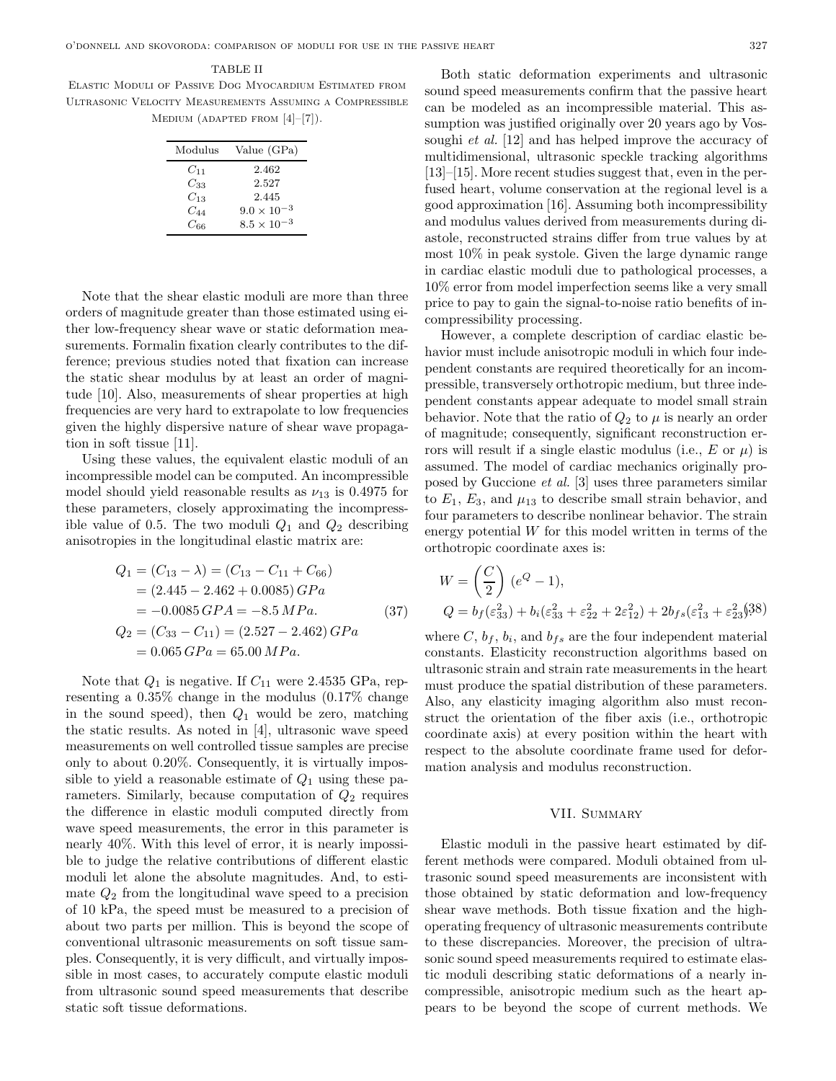## TABLE II

Elastic Moduli of Passive Dog Myocardium Estimated from Ultrasonic Velocity Measurements Assuming a Compressible MEDIUM (ADAPTED FROM  $[4]-[7]$ ).

| Modulus  | Value (GPa)          |
|----------|----------------------|
| $C_{11}$ | 2.462                |
| $C_{33}$ | 2.527                |
| $C_{13}$ | 2.445                |
| $C_{44}$ | $9.0 \times 10^{-3}$ |
| $C$ 66   | $8.5 \times 10^{-3}$ |

Note that the shear elastic moduli are more than three orders of magnitude greater than those estimated using either low-frequency shear wave or static deformation measurements. Formalin fixation clearly contributes to the difference; previous studies noted that fixation can increase the static shear modulus by at least an order of magnitude [10]. Also, measurements of shear properties at high frequencies are very hard to extrapolate to low frequencies given the highly dispersive nature of shear wave propagation in soft tissue [11].

Using these values, the equivalent elastic moduli of an incompressible model can be computed. An incompressible model should yield reasonable results as  $\nu_{13}$  is 0.4975 for these parameters, closely approximating the incompressible value of 0.5. The two moduli  $Q_1$  and  $Q_2$  describing anisotropies in the longitudinal elastic matrix are:

$$
Q_1 = (C_{13} - \lambda) = (C_{13} - C_{11} + C_{66})
$$
  
= (2.445 - 2.462 + 0.0085) *GPa*  
= -0.0085 *GPA* = -8.5 *MPa*.  

$$
Q_2 = (C_{33} - C_{11}) = (2.527 - 2.462) GPa
$$
  
= 0.065 *GPa* = 65.00 *MPa*.

Note that  $Q_1$  is negative. If  $C_{11}$  were 2.4535 GPa, representing a 0.35% change in the modulus (0.17% change in the sound speed), then  $Q_1$  would be zero, matching the static results. As noted in [4], ultrasonic wave speed measurements on well controlled tissue samples are precise only to about 0.20%. Consequently, it is virtually impossible to yield a reasonable estimate of  $Q_1$  using these parameters. Similarly, because computation of  $Q_2$  requires the difference in elastic moduli computed directly from wave speed measurements, the error in this parameter is nearly 40%. With this level of error, it is nearly impossible to judge the relative contributions of different elastic moduli let alone the absolute magnitudes. And, to estimate  $Q_2$  from the longitudinal wave speed to a precision of 10 kPa, the speed must be measured to a precision of about two parts per million. This is beyond the scope of conventional ultrasonic measurements on soft tissue samples. Consequently, it is very difficult, and virtually impossible in most cases, to accurately compute elastic moduli from ultrasonic sound speed measurements that describe static soft tissue deformations.

Both static deformation experiments and ultrasonic sound speed measurements confirm that the passive heart can be modeled as an incompressible material. This assumption was justified originally over 20 years ago by Vossoughi *et al.* [12] and has helped improve the accuracy of multidimensional, ultrasonic speckle tracking algorithms [13]–[15]. More recent studies suggest that, even in the perfused heart, volume conservation at the regional level is a good approximation [16]. Assuming both incompressibility and modulus values derived from measurements during diastole, reconstructed strains differ from true values by at most 10% in peak systole. Given the large dynamic range in cardiac elastic moduli due to pathological processes, a 10% error from model imperfection seems like a very small price to pay to gain the signal-to-noise ratio benefits of incompressibility processing.

However, a complete description of cardiac elastic behavior must include anisotropic moduli in which four independent constants are required theoretically for an incompressible, transversely orthotropic medium, but three independent constants appear adequate to model small strain behavior. Note that the ratio of  $Q_2$  to  $\mu$  is nearly an order of magnitude; consequently, significant reconstruction errors will result if a single elastic modulus (i.e.,  $E$  or  $\mu$ ) is assumed. The model of cardiac mechanics originally proposed by Guccione et al. [3] uses three parameters similar to  $E_1, E_3$ , and  $\mu_{13}$  to describe small strain behavior, and four parameters to describe nonlinear behavior. The strain energy potential  $W$  for this model written in terms of the orthotropic coordinate axes is:

$$
W = \left(\frac{C}{2}\right)(e^{Q} - 1),
$$
  
\n
$$
Q = b_{f}(\varepsilon_{33}^{2}) + b_{i}(\varepsilon_{33}^{2} + \varepsilon_{22}^{2} + 2\varepsilon_{12}^{2}) + 2b_{fs}(\varepsilon_{13}^{2} + \varepsilon_{23}^{2})^{(38)}
$$

where  $C, b_f, b_i$ , and  $b_{fs}$  are the four independent material constants. Elasticity reconstruction algorithms based on ultrasonic strain and strain rate measurements in the heart must produce the spatial distribution of these parameters. Also, any elasticity imaging algorithm also must reconstruct the orientation of the fiber axis (i.e., orthotropic coordinate axis) at every position within the heart with respect to the absolute coordinate frame used for deformation analysis and modulus reconstruction.

# VII. SUMMARY

Elastic moduli in the passive heart estimated by different methods were compared. Moduli obtained from ultrasonic sound speed measurements are inconsistent with those obtained by static deformation and low-frequency shear wave methods. Both tissue fixation and the highoperating frequency of ultrasonic measurements contribute to these discrepancies. Moreover, the precision of ultrasonic sound speed measurements required to estimate elastic moduli describing static deformations of a nearly incompressible, anisotropic medium such as the heart appears to be beyond the scope of current methods. We